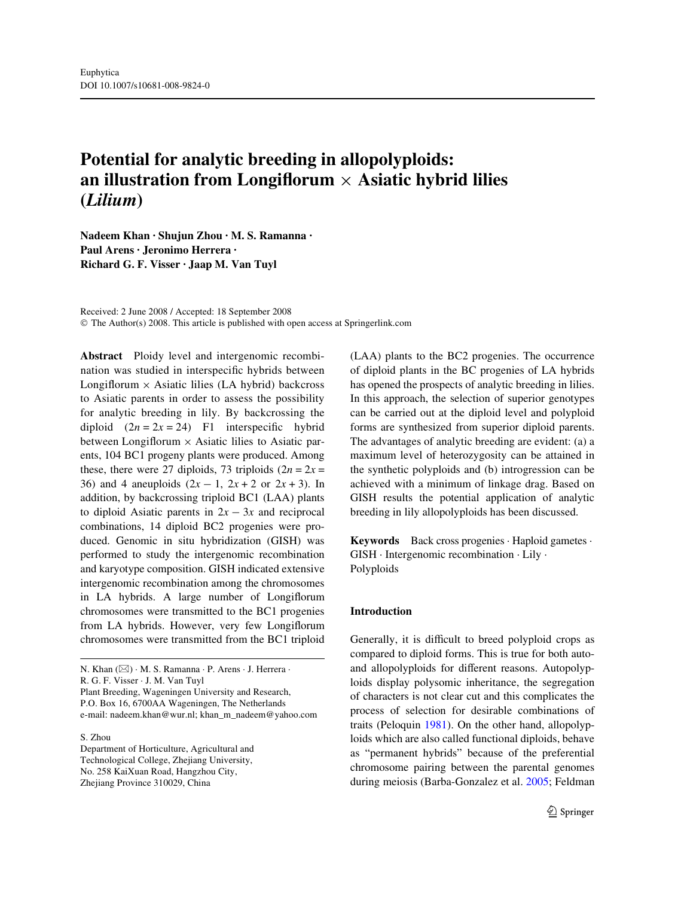# **Potential for analytic breeding in allopolyploids: an illustration from Longiflorum**  $\times$  **Asiatic hybrid lilies (***Lilium***)**

**Nadeem Khan · Shujun Zhou · M. S. Ramanna · Paul Arens · Jeronimo Herrera · Richard G. F. Visser · Jaap M. Van Tuyl** 

Received: 2 June 2008 / Accepted: 18 September 2008 © The Author(s) 2008. This article is published with open access at Springerlink.com

**Abstract** Ploidy level and intergenomic recombination was studied in interspecific hybrids between Longiflorum  $\times$  Asiatic lilies (LA hybrid) backcross to Asiatic parents in order to assess the possibility for analytic breeding in lily. By backcrossing the diploid  $(2n = 2x = 24)$  F1 interspecific hybrid between Longiflorum  $\times$  Asiatic lilies to Asiatic parents, 104 BC1 progeny plants were produced. Among these, there were 27 diploids, 73 triploids  $(2n = 2x)$ 36) and 4 aneuploids  $(2x - 1, 2x + 2 \text{ or } 2x + 3)$ . In addition, by backcrossing triploid BC1 (LAA) plants to diploid Asiatic parents in  $2x - 3x$  and reciprocal combinations, 14 diploid BC2 progenies were produced. Genomic in situ hybridization (GISH) was performed to study the intergenomic recombination and karyotype composition. GISH indicated extensive intergenomic recombination among the chromosomes in LA hybrids. A large number of Longiflorum chromosomes were transmitted to the BC1 progenies from LA hybrids. However, very few Longiflorum chromosomes were transmitted from the BC1 triploid

N. Khan (&) · M. S. Ramanna · P. Arens · J. Herrera · R. G. F. Visser · J. M. Van Tuyl

Plant Breeding, Wageningen University and Research, P.O. Box 16, 6700AA Wageningen, The Netherlands e-mail: nadeem.khan@wur.nl; khan\_m\_nadeem@yahoo.com

#### S. Zhou

Department of Horticulture, Agricultural and Technological College, Zhejiang University, No. 258 KaiXuan Road, Hangzhou City, Zhejiang Province 310029, China

(LAA) plants to the BC2 progenies. The occurrence of diploid plants in the BC progenies of LA hybrids has opened the prospects of analytic breeding in lilies. In this approach, the selection of superior genotypes can be carried out at the diploid level and polyploid forms are synthesized from superior diploid parents. The advantages of analytic breeding are evident: (a) a maximum level of heterozygosity can be attained in the synthetic polyploids and (b) introgression can be achieved with a minimum of linkage drag. Based on GISH results the potential application of analytic breeding in lily allopolyploids has been discussed.

**Keywords** Back cross progenies · Haploid gametes · GISH · Intergenomic recombination · Lily · Polyploids

#### **Introduction**

Generally, it is difficult to breed polyploid crops as compared to diploid forms. This is true for both autoand allopolyploids for different reasons. Autopolyploids display polysomic inheritance, the segregation of characters is not clear cut and this complicates the process of selection for desirable combinations of traits (Peloquin [1981](#page-10-0)). On the other hand, allopolyploids which are also called functional diploids, behave as "permanent hybrids" because of the preferential chromosome pairing between the parental genomes during meiosis (Barba-Gonzalez et al. [2005](#page-9-0); Feldman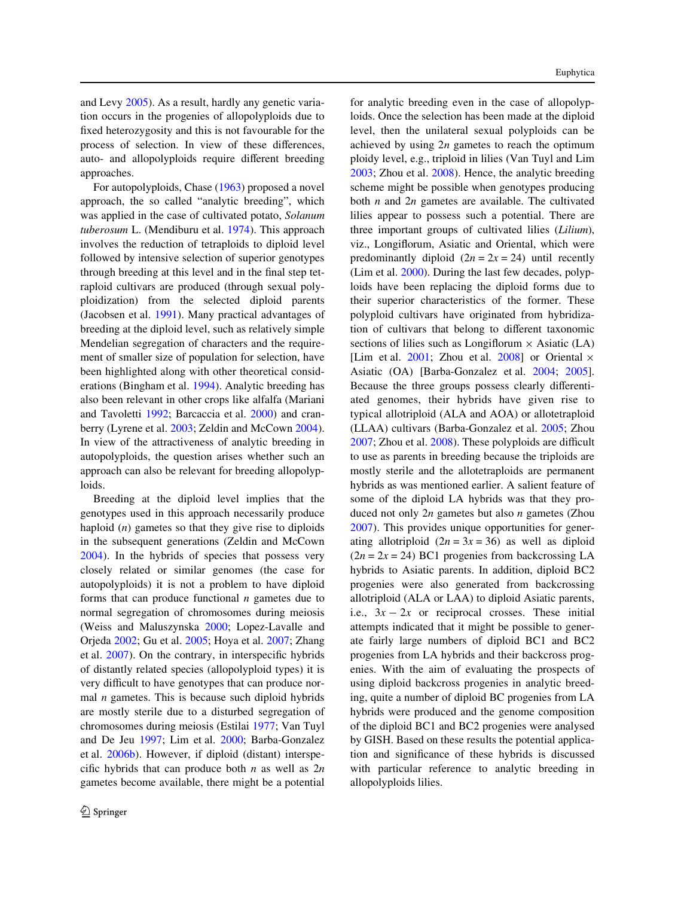and Levy [2005\)](#page-9-1). As a result, hardly any genetic variation occurs in the progenies of allopolyploids due to fixed heterozygosity and this is not favourable for the process of selection. In view of these differences, auto- and allopolyploids require different breeding approaches.

For autopolyploids, Chase ([1963\)](#page-9-2) proposed a novel approach, the so called "analytic breeding", which was applied in the case of cultivated potato, *Solanum tuberosum* L. (Mendiburu et al. [1974](#page-10-1)). This approach involves the reduction of tetraploids to diploid level followed by intensive selection of superior genotypes through breeding at this level and in the final step tetraploid cultivars are produced (through sexual polyploidization) from the selected diploid parents (Jacobsen et al. [1991\)](#page-9-3). Many practical advantages of breeding at the diploid level, such as relatively simple Mendelian segregation of characters and the requirement of smaller size of population for selection, have been highlighted along with other theoretical considerations (Bingham et al. [1994\)](#page-9-4). Analytic breeding has also been relevant in other crops like alfalfa (Mariani and Tavoletti [1992;](#page-10-2) Barcaccia et al. [2000\)](#page-9-5) and cran-berry (Lyrene et al. [2003](#page-10-3); Zeldin and McCown [2004\)](#page-10-4). In view of the attractiveness of analytic breeding in autopolyploids, the question arises whether such an approach can also be relevant for breeding allopolyploids.

Breeding at the diploid level implies that the genotypes used in this approach necessarily produce haploid (*n*) gametes so that they give rise to diploids in the subsequent generations (Zeldin and McCown [2004\)](#page-10-4). In the hybrids of species that possess very closely related or similar genomes (the case for autopolyploids) it is not a problem to have diploid forms that can produce functional *n* gametes due to normal segregation of chromosomes during meiosis (Weiss and Maluszynska [2000;](#page-10-5) Lopez-Lavalle and Orjeda [2002;](#page-10-6) Gu et al. [2005](#page-9-6); Hoya et al. [2007](#page-9-7); Zhang et al.  $2007$ ). On the contrary, in interspecific hybrids of distantly related species (allopolyploid types) it is very difficult to have genotypes that can produce normal *n* gametes. This is because such diploid hybrids are mostly sterile due to a disturbed segregation of chromosomes during meiosis (Estilai [1977;](#page-9-8) Van Tuyl and De Jeu [1997;](#page-10-8) Lim et al. [2000](#page-9-9); Barba-Gonzalez et al. [2006b](#page-9-10)). However, if diploid (distant) interspecific hybrids that can produce both  $n$  as well as  $2n$ gametes become available, there might be a potential for analytic breeding even in the case of allopolyploids. Once the selection has been made at the diploid level, then the unilateral sexual polyploids can be achieved by using 2*n* gametes to reach the optimum ploidy level, e.g., triploid in lilies (Van Tuyl and Lim [2003](#page-10-9); Zhou et al. [2008\)](#page-10-10). Hence, the analytic breeding scheme might be possible when genotypes producing both *n* and 2*n* gametes are available. The cultivated lilies appear to possess such a potential. There are three important groups of cultivated lilies (*Lilium*), viz., Longiflorum, Asiatic and Oriental, which were predominantly diploid  $(2n = 2x = 24)$  until recently (Lim et al. [2000\)](#page-9-9). During the last few decades, polyploids have been replacing the diploid forms due to their superior characteristics of the former. These polyploid cultivars have originated from hybridization of cultivars that belong to different taxonomic sections of lilies such as Longiflorum  $\times$  Asiatic (LA) [Lim et al.  $2001$ ; Zhou et al.  $2008$ ] or Oriental  $\times$ Asiatic (OA) [Barba-Gonzalez et al. [2004;](#page-9-11) [2005\]](#page-9-0). Because the three groups possess clearly differentiated genomes, their hybrids have given rise to typical allotriploid (ALA and AOA) or allotetraploid (LLAA) cultivars (Barba-Gonzalez et al. [2005](#page-9-0); Zhou  $2007$ ; Zhou et al.  $2008$ ). These polyploids are difficult to use as parents in breeding because the triploids are mostly sterile and the allotetraploids are permanent hybrids as was mentioned earlier. A salient feature of some of the diploid LA hybrids was that they produced not only 2*n* gametes but also *n* gametes (Zhou [2007](#page-10-12)). This provides unique opportunities for generating allotriploid  $(2n = 3x = 36)$  as well as diploid  $(2n = 2x = 24)$  BC1 progenies from backcrossing LA hybrids to Asiatic parents. In addition, diploid BC2 progenies were also generated from backcrossing allotriploid (ALA or LAA) to diploid Asiatic parents, i.e.,  $3x - 2x$  or reciprocal crosses. These initial attempts indicated that it might be possible to generate fairly large numbers of diploid BC1 and BC2 progenies from LA hybrids and their backcross progenies. With the aim of evaluating the prospects of using diploid backcross progenies in analytic breeding, quite a number of diploid BC progenies from LA hybrids were produced and the genome composition of the diploid BC1 and BC2 progenies were analysed by GISH. Based on these results the potential application and significance of these hybrids is discussed with particular reference to analytic breeding in allopolyploids lilies.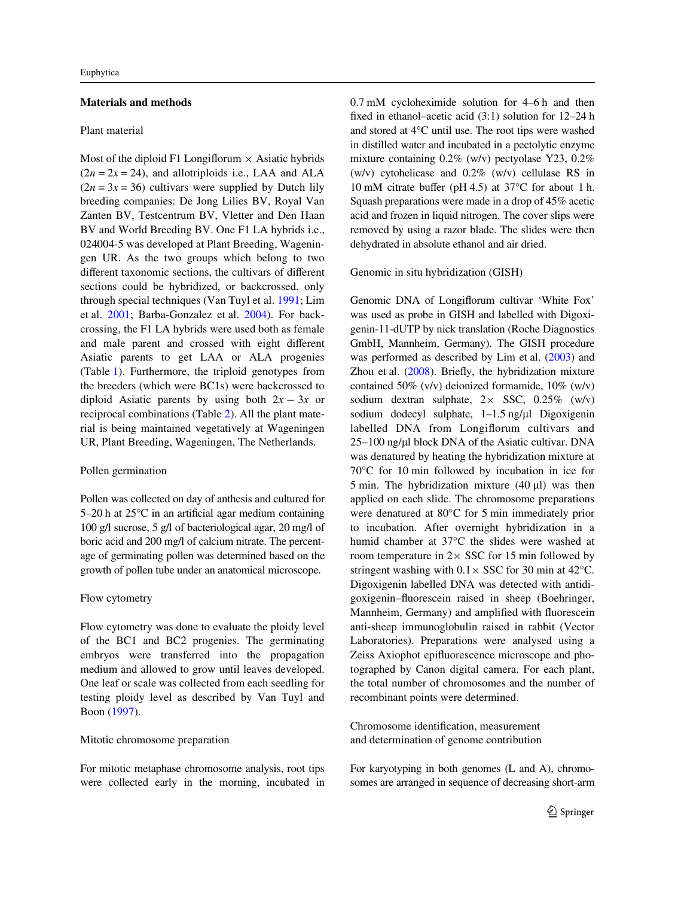### **Materials and methods**

#### Plant material

Most of the diploid F1 Longiflorum  $\times$  Asiatic hybrids  $(2n = 2x = 24)$ , and allotriploids i.e., LAA and ALA  $(2n = 3x = 36)$  cultivars were supplied by Dutch lily breeding companies: De Jong Lilies BV, Royal Van Zanten BV, Testcentrum BV, Vletter and Den Haan BV and World Breeding BV. One F1 LA hybrids i.e., 024004-5 was developed at Plant Breeding, Wageningen UR. As the two groups which belong to two different taxonomic sections, the cultivars of different sections could be hybridized, or backcrossed, only through special techniques (Van Tuyl et al. [1991;](#page-10-13) Lim et al. [2001;](#page-10-11) Barba-Gonzalez et al. [2004](#page-9-11)). For backcrossing, the F1 LA hybrids were used both as female and male parent and crossed with eight different Asiatic parents to get LAA or ALA progenies (Table [1\)](#page-3-0). Furthermore, the triploid genotypes from the breeders (which were BC1s) were backcrossed to diploid Asiatic parents by using both  $2x - 3x$  or reciprocal combinations (Table [2](#page-4-0)). All the plant material is being maintained vegetatively at Wageningen UR, Plant Breeding, Wageningen, The Netherlands.

### Pollen germination

Pollen was collected on day of anthesis and cultured for 5–20 h at  $25^{\circ}$ C in an artificial agar medium containing 100 g/l sucrose, 5 g/l of bacteriological agar, 20 mg/l of boric acid and 200 mg/l of calcium nitrate. The percentage of germinating pollen was determined based on the growth of pollen tube under an anatomical microscope.

#### Flow cytometry

Flow cytometry was done to evaluate the ploidy level of the BC1 and BC2 progenies. The germinating embryos were transferred into the propagation medium and allowed to grow until leaves developed. One leaf or scale was collected from each seedling for testing ploidy level as described by Van Tuyl and Boon [\(1997](#page-10-14)).

#### Mitotic chromosome preparation

For mitotic metaphase chromosome analysis, root tips were collected early in the morning, incubated in 0.7 mM cycloheximide solution for 4–6 h and then fixed in ethanol–acetic acid  $(3:1)$  solution for  $12-24$  h and stored at 4°C until use. The root tips were washed in distilled water and incubated in a pectolytic enzyme mixture containing 0.2% (w/v) pectyolase Y23, 0.2% (w/v) cytohelicase and 0.2% (w/v) cellulase RS in 10 mM citrate buffer (pH 4.5) at  $37^{\circ}$ C for about 1 h. Squash preparations were made in a drop of 45% acetic acid and frozen in liquid nitrogen. The cover slips were removed by using a razor blade. The slides were then dehydrated in absolute ethanol and air dried.

Genomic in situ hybridization (GISH)

Genomic DNA of Longiflorum cultivar 'White Fox' was used as probe in GISH and labelled with Digoxigenin-11-dUTP by nick translation (Roche Diagnostics GmbH, Mannheim, Germany). The GISH procedure was performed as described by Lim et al. ([2003\)](#page-10-15) and Zhou et al.  $(2008)$  $(2008)$  $(2008)$ . Briefly, the hybridization mixture contained 50% (v/v) deionized formamide, 10% (w/v) sodium dextran sulphate,  $2 \times$  SSC, 0.25% (w/v) sodium dodecyl sulphate,  $1-1.5$  ng/ $\mu$ l Digoxigenin labelled DNA from Longiflorum cultivars and 25–100 ng/l block DNA of the Asiatic cultivar. DNA was denatured by heating the hybridization mixture at 70°C for 10 min followed by incubation in ice for 5 min. The hybridization mixture  $(40 \mu l)$  was then applied on each slide. The chromosome preparations were denatured at 80°C for 5 min immediately prior to incubation. After overnight hybridization in a humid chamber at 37°C the slides were washed at room temperature in  $2 \times$  SSC for 15 min followed by stringent washing with  $0.1 \times$  SSC for 30 min at 42 $^{\circ}$ C. Digoxigenin labelled DNA was detected with antidigoxigenin–fluorescein raised in sheep (Boehringer, Mannheim, Germany) and amplified with fluorescein anti-sheep immunoglobulin raised in rabbit (Vector Laboratories). Preparations were analysed using a Zeiss Axiophot epifluorescence microscope and photographed by Canon digital camera. For each plant, the total number of chromosomes and the number of recombinant points were determined.

Chromosome identification, measurement and determination of genome contribution

For karyotyping in both genomes (L and A), chromosomes are arranged in sequence of decreasing short-arm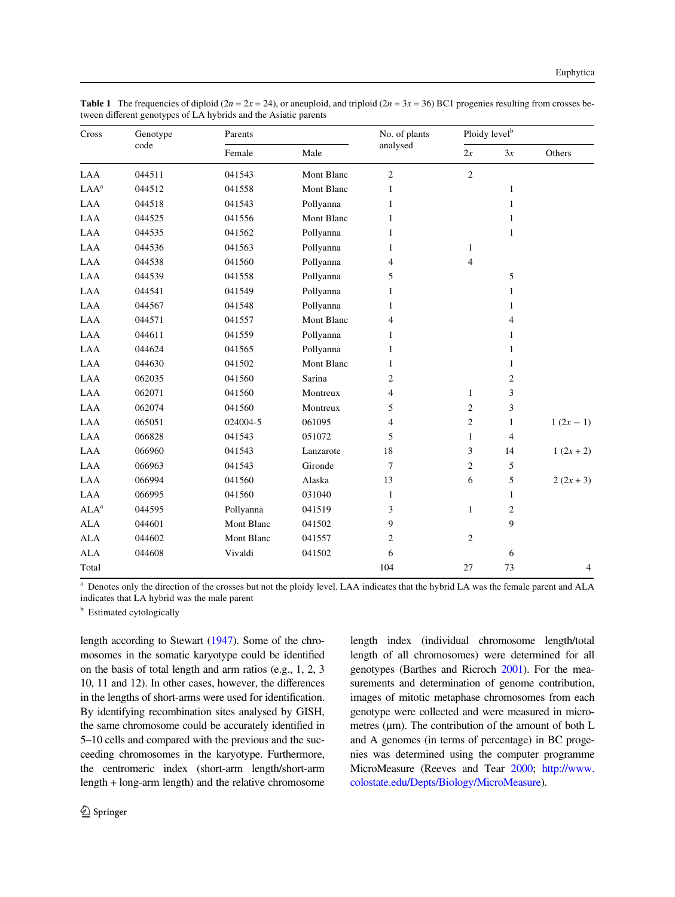| Cross            | Genotype<br>code | Parents    |            | No. of plants  | Ploidy level <sup>b</sup> |                |           |
|------------------|------------------|------------|------------|----------------|---------------------------|----------------|-----------|
|                  |                  | Female     | Male       | analysed       | 2x                        | 3x             | Others    |
| LAA              | 044511           | 041543     | Mont Blanc | $\overline{2}$ | 2                         |                |           |
| LAA <sup>a</sup> | 044512           | 041558     | Mont Blanc | $\mathbf{1}$   |                           | $\mathbf{1}$   |           |
| LAA              | 044518           | 041543     | Pollyanna  | 1              |                           | 1              |           |
| LAA              | 044525           | 041556     | Mont Blanc | $\mathbf{1}$   |                           | $\mathbf{1}$   |           |
| LAA              | 044535           | 041562     | Pollyanna  | $\mathbf{1}$   |                           | $\mathbf{1}$   |           |
| LAA              | 044536           | 041563     | Pollyanna  | $\mathbf{1}$   | $\mathbf{1}$              |                |           |
| LAA              | 044538           | 041560     | Pollyanna  | $\overline{4}$ | $\overline{4}$            |                |           |
| LAA              | 044539           | 041558     | Pollyanna  | 5              |                           | 5              |           |
| LAA              | 044541           | 041549     | Pollyanna  | $\mathbf{1}$   |                           | $\mathbf{1}$   |           |
| LAA              | 044567           | 041548     | Pollyanna  | $\mathbf{1}$   |                           | 1              |           |
| LAA              | 044571           | 041557     | Mont Blanc | $\overline{4}$ |                           | $\overline{4}$ |           |
| LAA              | 044611           | 041559     | Pollyanna  | $\mathbf{1}$   |                           | $\mathbf{1}$   |           |
| LAA              | 044624           | 041565     | Pollyanna  | 1              |                           | 1              |           |
| LAA              | 044630           | 041502     | Mont Blanc | $\mathbf{1}$   |                           | $\mathbf{1}$   |           |
| LAA              | 062035           | 041560     | Sarina     | $\sqrt{2}$     |                           | $\sqrt{2}$     |           |
| LAA              | 062071           | 041560     | Montreux   | $\overline{4}$ | $\mathbf{1}$              | 3              |           |
| LAA              | 062074           | 041560     | Montreux   | 5              | $\overline{c}$            | 3              |           |
| LAA              | 065051           | 024004-5   | 061095     | $\overline{4}$ | $\sqrt{2}$                | $\mathbf{1}$   | $1(2x-1)$ |
| LAA              | 066828           | 041543     | 051072     | 5              | $\mathbf{1}$              | $\overline{4}$ |           |
| LAA              | 066960           | 041543     | Lanzarote  | 18             | 3                         | 14             | $1(2x+2)$ |
| LAA              | 066963           | 041543     | Gironde    | $\overline{7}$ | $\overline{c}$            | 5              |           |
| LAA              | 066994           | 041560     | Alaska     | 13             | 6                         | 5              | $2(2x+3)$ |
| LAA              | 066995           | 041560     | 031040     | $\mathbf{1}$   |                           | 1              |           |
| ALA <sup>a</sup> | 044595           | Pollyanna  | 041519     | 3              | $\mathbf{1}$              | $\overline{c}$ |           |
| <b>ALA</b>       | 044601           | Mont Blanc | 041502     | 9              |                           | 9              |           |
| <b>ALA</b>       | 044602           | Mont Blanc | 041557     | $\overline{2}$ | $\overline{c}$            |                |           |
| <b>ALA</b>       | 044608           | Vivaldi    | 041502     | 6              |                           | 6              |           |
| Total            |                  |            |            | 104            | 27                        | 73             | 4         |

<span id="page-3-0"></span>**Table 1** The frequencies of diploid ( $2n = 2x = 24$ ), or aneuploid, and triploid ( $2n = 3x = 36$ ) BC1 progenies resulting from crosses between different genotypes of LA hybrids and the Asiatic parents

<sup>a</sup> Denotes only the direction of the crosses but not the ploidy level. LAA indicates that the hybrid LA was the female parent and ALA indicates that LA hybrid was the male parent

**b** Estimated cytologically

length according to Stewart [\(1947](#page-10-16)). Some of the chromosomes in the somatic karyotype could be identified on the basis of total length and arm ratios (e.g., 1, 2, 3 10, 11 and 12). In other cases, however, the differences in the lengths of short-arms were used for identification. By identifying recombination sites analysed by GISH, the same chromosome could be accurately identified in 5–10 cells and compared with the previous and the succeeding chromosomes in the karyotype. Furthermore, the centromeric index (short-arm length/short-arm length + long-arm length) and the relative chromosome length index (individual chromosome length/total length of all chromosomes) were determined for all genotypes (Barthes and Ricroch [2001\)](#page-9-12). For the measurements and determination of genome contribution, images of mitotic metaphase chromosomes from each genotype were collected and were measured in micrometres ( $\mu$ m). The contribution of the amount of both L and A genomes (in terms of percentage) in BC progenies was determined using the computer programme MicroMeasure (Reeves and Tear [2000;](#page-10-17) [http://www.](http://www.colostate.edu/Depts/Biology/MicroMeasure) [colostate.edu/Depts/Biology/MicroMeasure](http://www.colostate.edu/Depts/Biology/MicroMeasure)).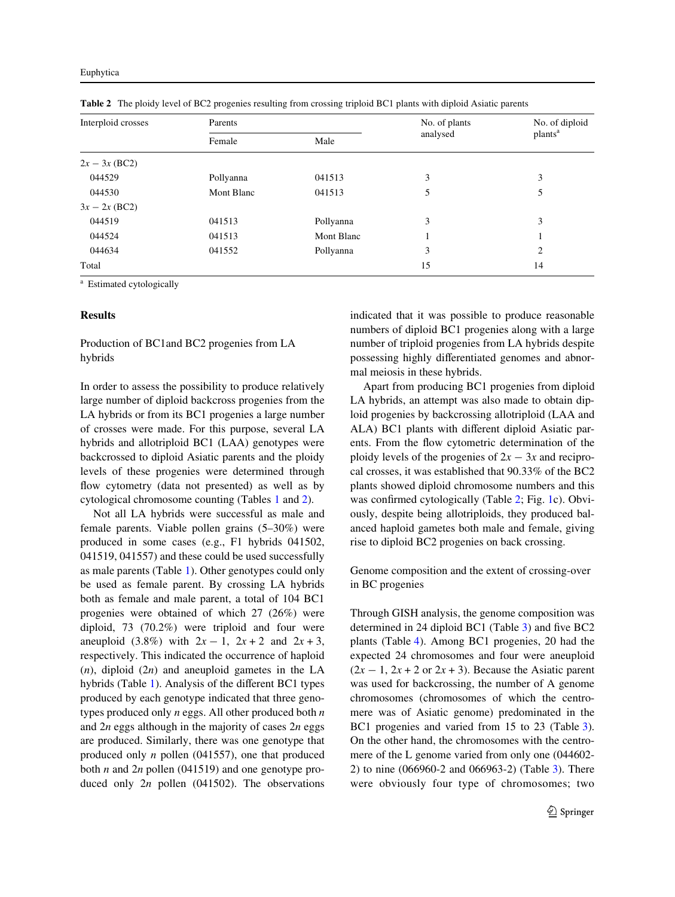| Interploid crosses | Parents        |            | No. of plants | No. of diploid      |  |
|--------------------|----------------|------------|---------------|---------------------|--|
|                    | Female<br>Male |            | analysed      | plants <sup>a</sup> |  |
| $2x - 3x$ (BC2)    |                |            |               |                     |  |
| 044529             | Pollyanna      | 041513     | 3             | 3                   |  |
| 044530             | Mont Blanc     | 041513     | 5             | 5                   |  |
| $3x - 2x (BC2)$    |                |            |               |                     |  |
| 044519             | 041513         | Pollyanna  | 3             | 3                   |  |
| 044524             | 041513         | Mont Blanc |               |                     |  |
| 044634             | 041552         | Pollyanna  | 3             | 2                   |  |
| Total              |                |            | 15            | 14                  |  |

<span id="page-4-0"></span>**Table 2** The ploidy level of BC2 progenies resulting from crossing triploid BC1 plants with diploid Asiatic parents

Estimated cytologically

### **Results**

Production of BC1and BC2 progenies from LA hybrids

In order to assess the possibility to produce relatively large number of diploid backcross progenies from the LA hybrids or from its BC1 progenies a large number of crosses were made. For this purpose, several LA hybrids and allotriploid BC1 (LAA) genotypes were backcrossed to diploid Asiatic parents and the ploidy levels of these progenies were determined through flow cytometry (data not presented) as well as by cytological chromosome counting (Tables [1](#page-3-0) and [2](#page-4-0)).

Not all LA hybrids were successful as male and female parents. Viable pollen grains (5–30%) were produced in some cases (e.g., F1 hybrids 041502, 041519, 041557) and these could be used successfully as male parents (Table [1](#page-3-0)). Other genotypes could only be used as female parent. By crossing LA hybrids both as female and male parent, a total of 104 BC1 progenies were obtained of which 27 (26%) were diploid, 73 (70.2%) were triploid and four were aneuploid (3.8%) with  $2x - 1$ ,  $2x + 2$  and  $2x + 3$ , respectively. This indicated the occurrence of haploid (*n*), diploid (2*n*) and aneuploid gametes in the LA hybrids (Table [1](#page-3-0)). Analysis of the different BC1 types produced by each genotype indicated that three genotypes produced only *n* eggs. All other produced both *n* and 2*n* eggs although in the majority of cases 2*n* eggs are produced. Similarly, there was one genotype that produced only *n* pollen (041557), one that produced both *n* and 2*n* pollen (041519) and one genotype produced only 2*n* pollen (041502). The observations indicated that it was possible to produce reasonable numbers of diploid BC1 progenies along with a large number of triploid progenies from LA hybrids despite possessing highly differentiated genomes and abnormal meiosis in these hybrids.

Apart from producing BC1 progenies from diploid LA hybrids, an attempt was also made to obtain diploid progenies by backcrossing allotriploid (LAA and ALA) BC1 plants with different diploid Asiatic parents. From the flow cytometric determination of the ploidy levels of the progenies of  $2x - 3x$  and reciprocal crosses, it was established that 90.33% of the BC2 plants showed diploid chromosome numbers and this was confirmed cytologically (Table  $2$ ; Fig. [1](#page-5-0)c). Obviously, despite being allotriploids, they produced balanced haploid gametes both male and female, giving rise to diploid BC2 progenies on back crossing.

Genome composition and the extent of crossing-over in BC progenies

Through GISH analysis, the genome composition was determined in 24 diploid BC1 (Table  $3$ ) and five BC2 plants (Table [4](#page-6-1)). Among BC1 progenies, 20 had the expected 24 chromosomes and four were aneuploid  $(2x - 1, 2x + 2 \text{ or } 2x + 3)$ . Because the Asiatic parent was used for backcrossing, the number of A genome chromosomes (chromosomes of which the centromere was of Asiatic genome) predominated in the BC1 progenies and varied from 15 to 23 (Table [3\)](#page-6-0). On the other hand, the chromosomes with the centromere of the L genome varied from only one (044602- 2) to nine (066960-2 and 066963-2) (Table [3](#page-6-0)). There were obviously four type of chromosomes; two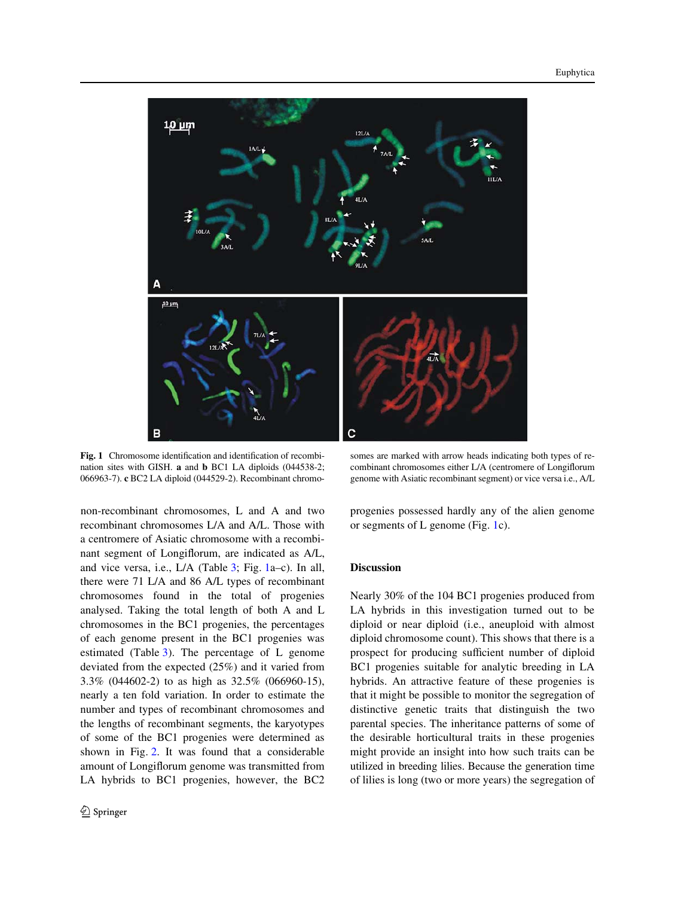

<span id="page-5-0"></span>Fig. 1 Chromosome identification and identification of recombination sites with GISH. **a** and **b** BC1 LA diploids (044538-2; 066963-7). **c** BC2 LA diploid (044529-2). Recombinant chromo-

non-recombinant chromosomes, L and A and two recombinant chromosomes L/A and A/L. Those with a centromere of Asiatic chromosome with a recombinant segment of Longiflorum, are indicated as A/L, and vice versa, i.e., L/A (Table [3;](#page-6-0) Fig. [1](#page-5-0)a–c). In all, there were 71 L/A and 86 A/L types of recombinant chromosomes found in the total of progenies analysed. Taking the total length of both A and L chromosomes in the BC1 progenies, the percentages of each genome present in the BC1 progenies was estimated (Table [3](#page-6-0)). The percentage of L genome deviated from the expected (25%) and it varied from 3.3% (044602-2) to as high as 32.5% (066960-15), nearly a ten fold variation. In order to estimate the number and types of recombinant chromosomes and the lengths of recombinant segments, the karyotypes of some of the BC1 progenies were determined as shown in Fig. [2](#page-7-0). It was found that a considerable amount of Longiflorum genome was transmitted from LA hybrids to BC1 progenies, however, the BC2

somes are marked with arrow heads indicating both types of recombinant chromosomes either L/A (centromere of Longiflorum genome with Asiatic recombinant segment) or vice versa i.e., A/L

progenies possessed hardly any of the alien genome or segments of L genome (Fig. [1c](#page-5-0)).

#### **Discussion**

Nearly 30% of the 104 BC1 progenies produced from LA hybrids in this investigation turned out to be diploid or near diploid (i.e., aneuploid with almost diploid chromosome count). This shows that there is a prospect for producing sufficient number of diploid BC1 progenies suitable for analytic breeding in LA hybrids. An attractive feature of these progenies is that it might be possible to monitor the segregation of distinctive genetic traits that distinguish the two parental species. The inheritance patterns of some of the desirable horticultural traits in these progenies might provide an insight into how such traits can be utilized in breeding lilies. Because the generation time of lilies is long (two or more years) the segregation of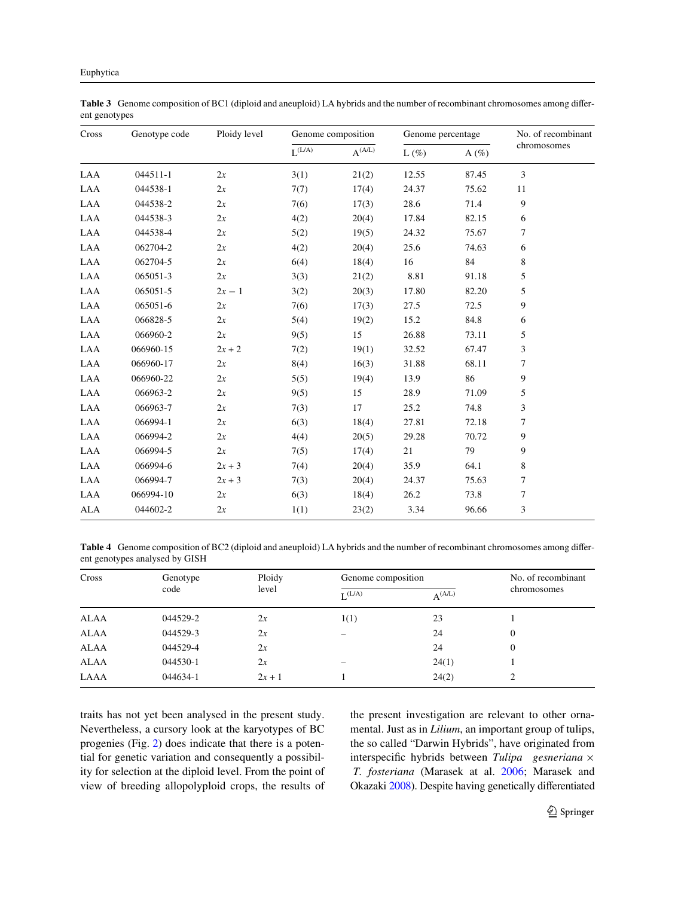| Cross      | Genotype code | Ploidy level | Genome composition |             | Genome percentage |          | No. of recombinant |
|------------|---------------|--------------|--------------------|-------------|-------------------|----------|--------------------|
|            |               |              | $L^{(L/A)}$        | $A^{(A/L)}$ | $L(\%)$           | A $(\%)$ | chromosomes        |
| LAA        | 044511-1      | 2x           | 3(1)               | 21(2)       | 12.55             | 87.45    | 3                  |
| LAA        | 044538-1      | 2x           | 7(7)               | 17(4)       | 24.37             | 75.62    | 11                 |
| LAA        | 044538-2      | 2x           | 7(6)               | 17(3)       | 28.6              | 71.4     | $\overline{9}$     |
| LAA        | 044538-3      | 2x           | 4(2)               | 20(4)       | 17.84             | 82.15    | 6                  |
| LAA        | 044538-4      | 2x           | 5(2)               | 19(5)       | 24.32             | 75.67    | 7                  |
| LAA        | 062704-2      | 2x           | 4(2)               | 20(4)       | 25.6              | 74.63    | 6                  |
| LAA        | 062704-5      | 2x           | 6(4)               | 18(4)       | 16                | 84       | 8                  |
| LAA        | 065051-3      | 2x           | 3(3)               | 21(2)       | 8.81              | 91.18    | 5                  |
| LAA        | 065051-5      | $2x-1$       | 3(2)               | 20(3)       | 17.80             | 82.20    | 5                  |
| LAA        | 065051-6      | 2x           | 7(6)               | 17(3)       | 27.5              | 72.5     | 9                  |
| LAA        | 066828-5      | 2x           | 5(4)               | 19(2)       | 15.2              | 84.8     | 6                  |
| LAA        | 066960-2      | 2x           | 9(5)               | 15          | 26.88             | 73.11    | 5                  |
| LAA        | 066960-15     | $2x + 2$     | 7(2)               | 19(1)       | 32.52             | 67.47    | 3                  |
| LAA        | 066960-17     | 2x           | 8(4)               | 16(3)       | 31.88             | 68.11    | 7                  |
| LAA        | 066960-22     | 2x           | 5(5)               | 19(4)       | 13.9              | 86       | 9                  |
| LAA        | 066963-2      | 2x           | 9(5)               | 15          | 28.9              | 71.09    | 5                  |
| LAA        | 066963-7      | 2x           | 7(3)               | 17          | 25.2              | 74.8     | 3                  |
| LAA        | 066994-1      | 2x           | 6(3)               | 18(4)       | 27.81             | 72.18    | 7                  |
| LAA        | 066994-2      | 2x           | 4(4)               | 20(5)       | 29.28             | 70.72    | 9                  |
| LAA        | 066994-5      | 2x           | 7(5)               | 17(4)       | 21                | 79       | 9                  |
| LAA        | 066994-6      | $2x + 3$     | 7(4)               | 20(4)       | 35.9              | 64.1     | 8                  |
| LAA        | 066994-7      | $2x + 3$     | 7(3)               | 20(4)       | 24.37             | 75.63    | 7                  |
| LAA        | 066994-10     | 2x           | 6(3)               | 18(4)       | 26.2              | 73.8     | 7                  |
| <b>ALA</b> | 044602-2      | 2x           | 1(1)               | 23(2)       | 3.34              | 96.66    | 3                  |

<span id="page-6-0"></span>Table 3 Genome composition of BC1 (diploid and aneuploid) LA hybrids and the number of recombinant chromosomes among different genotypes

<span id="page-6-1"></span>Table 4 Genome composition of BC2 (diploid and aneuploid) LA hybrids and the number of recombinant chromosomes among different genotypes analysed by GISH

| Cross       | Genotype<br>code | Ploidy<br>level | Genome composition |                           | No. of recombinant |
|-------------|------------------|-----------------|--------------------|---------------------------|--------------------|
|             |                  |                 | L(A)               | $\Delta$ <sup>(A/L)</sup> | chromosomes        |
| <b>ALAA</b> | 044529-2         | 2x              | 1(1)               | 23                        |                    |
| ALAA        | 044529-3         | 2x              | -                  | 24                        | $\Omega$           |
| <b>ALAA</b> | 044529-4         | 2x              |                    | 24                        |                    |
| ALAA        | 044530-1         | 2x              |                    | 24(1)                     |                    |
| LAAA        | 044634-1         | $2x + 1$        |                    | 24(2)                     |                    |

traits has not yet been analysed in the present study. Nevertheless, a cursory look at the karyotypes of BC progenies (Fig. [2\)](#page-7-0) does indicate that there is a potential for genetic variation and consequently a possibility for selection at the diploid level. From the point of view of breeding allopolyploid crops, the results of the present investigation are relevant to other ornamental. Just as in *Lilium*, an important group of tulips, the so called "Darwin Hybrids", have originated from interspecific hybrids between *Tulipa gesneriana*  $\times$ *T. fosteriana* (Marasek at al. [2006](#page-10-18); Marasek and Okazaki [2008\)](#page-10-19). Despite having genetically differentiated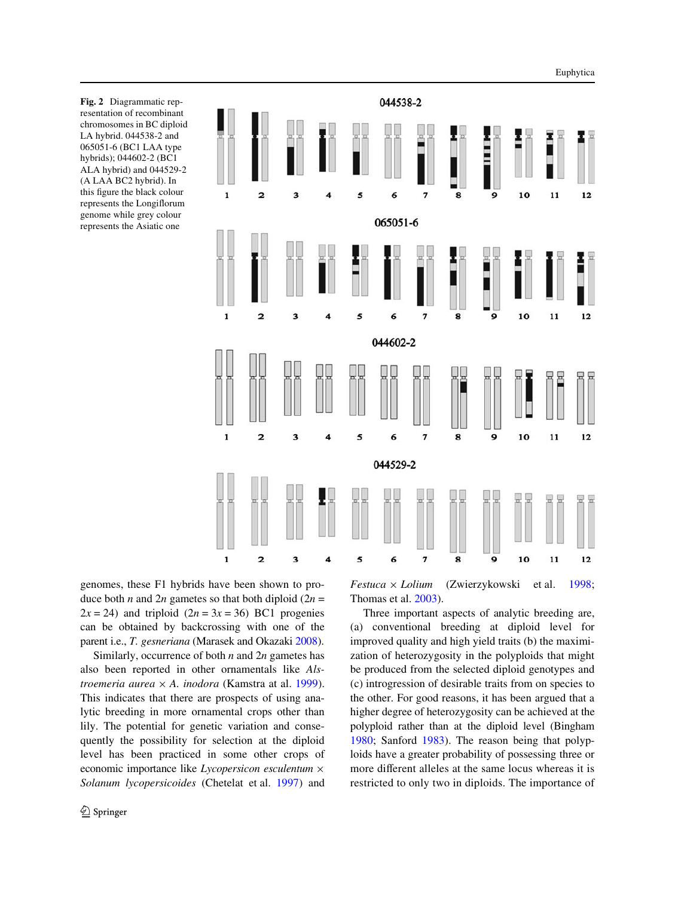<span id="page-7-0"></span>**Fig. 2** Diagrammatic representation of recombinant chromosomes in BC diploid LA hybrid. 044538-2 and 065051-6 (BC1 LAA type hybrids); 044602-2 (BC1 ALA hybrid) and 044529-2 (A LAA BC2 hybrid). In this figure the black colour represents the Longiflorum genome while grey colour represents the Asiatic one



genomes, these F1 hybrids have been shown to produce both *n* and 2*n* gametes so that both diploid (2*n* =  $2x = 24$ ) and triploid  $(2n = 3x = 36)$  BC1 progenies can be obtained by backcrossing with one of the parent i.e., *T. gesneriana* (Marasek and Okazaki [2008](#page-10-19)).

Similarly, occurrence of both *n* and 2*n* gametes has also been reported in other ornamentals like *Alstroemeria aurea*  $\times$  *A. inodora* (Kamstra at al. [1999\)](#page-9-13). This indicates that there are prospects of using analytic breeding in more ornamental crops other than lily. The potential for genetic variation and consequently the possibility for selection at the diploid level has been practiced in some other crops of economic importance like  $Lycopersicon$  *esculentum*  $\times$ *Solanum lycopersicoides* (Chetelat et al. [1997\)](#page-9-14) and *Festuca* × *Lolium* (Zwierzykowski et al. [1998;](#page-10-20) Thomas et al. [2003\)](#page-10-21).

Three important aspects of analytic breeding are, (a) conventional breeding at diploid level for improved quality and high yield traits (b) the maximization of heterozygosity in the polyploids that might be produced from the selected diploid genotypes and (c) introgression of desirable traits from on species to the other. For good reasons, it has been argued that a higher degree of heterozygosity can be achieved at the polyploid rather than at the diploid level (Bingham [1980](#page-9-15); Sanford [1983](#page-10-22)). The reason being that polyploids have a greater probability of possessing three or more different alleles at the same locus whereas it is restricted to only two in diploids. The importance of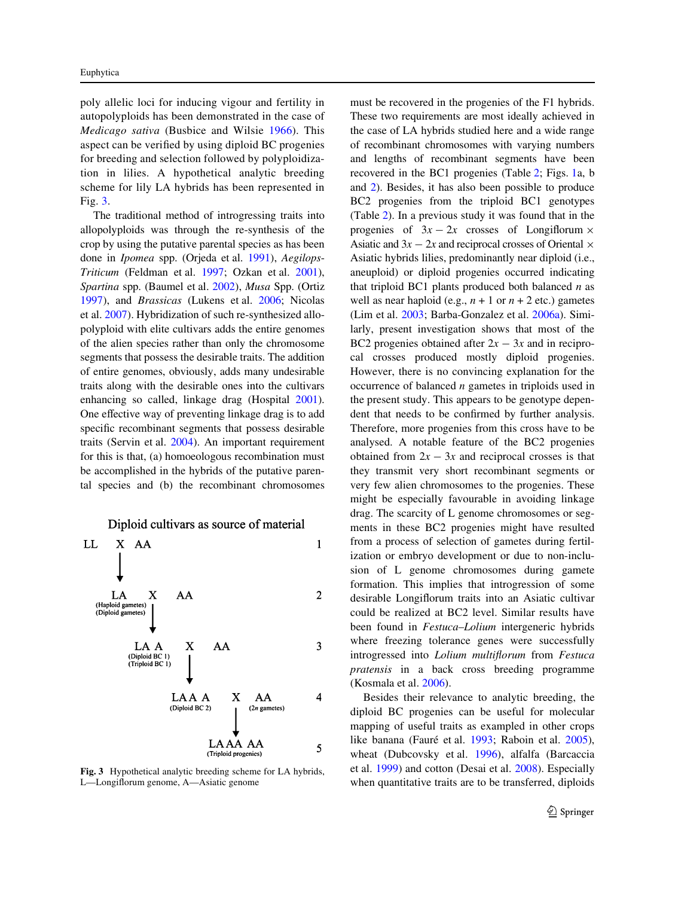poly allelic loci for inducing vigour and fertility in autopolyploids has been demonstrated in the case of *Medicago sativa* (Busbice and Wilsie [1966\)](#page-9-16). This aspect can be verified by using diploid BC progenies for breeding and selection followed by polyploidization in lilies. A hypothetical analytic breeding scheme for lily LA hybrids has been represented in Fig. [3.](#page-8-0)

The traditional method of introgressing traits into allopolyploids was through the re-synthesis of the crop by using the putative parental species as has been done in *Ipomea* spp. (Orjeda et al. [1991](#page-10-23)), *Aegilops*-*Triticum* (Feldman et al. [1997;](#page-9-17) Ozkan et al. [2001\)](#page-10-24), *Spartina* spp. (Baumel et al. [2002](#page-9-18)), *Musa* Spp. (Ortiz [1997\)](#page-10-25), and *Brassicas* (Lukens et al. [2006;](#page-10-26) Nicolas et al. [2007](#page-10-27)). Hybridization of such re-synthesized allopolyploid with elite cultivars adds the entire genomes of the alien species rather than only the chromosome segments that possess the desirable traits. The addition of entire genomes, obviously, adds many undesirable traits along with the desirable ones into the cultivars enhancing so called, linkage drag (Hospital [2001\)](#page-9-19). One effective way of preventing linkage drag is to add specific recombinant segments that possess desirable traits (Servin et al. [2004\)](#page-10-28). An important requirement for this is that, (a) homoeologous recombination must be accomplished in the hybrids of the putative parental species and (b) the recombinant chromosomes

Diploid cultivars as source of material LL.  $X$  AA  $\mathbf{1}$ X  $\overline{2}$ LA  $AA$ (Haploid gametes) (Diploid gametes) LA A X  $AA$ 3 (Diploid BC 1)  $(Triploid BC 1)$ LAA A X AA 4 (Diploid BC 2)  $(2n$  gametes) LAAA AA 5 (Triploid progenies)

<span id="page-8-0"></span>**Fig. 3** Hypothetical analytic breeding scheme for LA hybrids, L—Longiflorum genome, A—Asiatic genome

must be recovered in the progenies of the F1 hybrids. These two requirements are most ideally achieved in the case of LA hybrids studied here and a wide range of recombinant chromosomes with varying numbers and lengths of recombinant segments have been recovered in the BC1 progenies (Table [2;](#page-4-0) Figs. [1](#page-5-0)a, b and [2\)](#page-7-0). Besides, it has also been possible to produce BC2 progenies from the triploid BC1 genotypes (Table [2](#page-4-0)). In a previous study it was found that in the progenies of  $3x - 2x$  crosses of Longiflorum  $\times$ Asiatic and  $3x - 2x$  and reciprocal crosses of Oriental  $\times$ Asiatic hybrids lilies, predominantly near diploid (i.e., aneuploid) or diploid progenies occurred indicating that triploid BC1 plants produced both balanced *n* as well as near haploid (e.g.,  $n + 1$  or  $n + 2$  etc.) gametes (Lim et al. [2003](#page-10-15); Barba-Gonzalez et al. [2006a\)](#page-9-20). Similarly, present investigation shows that most of the BC2 progenies obtained after  $2x - 3x$  and in reciprocal crosses produced mostly diploid progenies. However, there is no convincing explanation for the occurrence of balanced *n* gametes in triploids used in the present study. This appears to be genotype dependent that needs to be confirmed by further analysis. Therefore, more progenies from this cross have to be analysed. A notable feature of the BC2 progenies obtained from  $2x - 3x$  and reciprocal crosses is that they transmit very short recombinant segments or very few alien chromosomes to the progenies. These might be especially favourable in avoiding linkage drag. The scarcity of L genome chromosomes or segments in these BC2 progenies might have resulted from a process of selection of gametes during fertilization or embryo development or due to non-inclusion of L genome chromosomes during gamete formation. This implies that introgression of some desirable Longiflorum traits into an Asiatic cultivar could be realized at BC2 level. Similar results have been found in *Festuca*–*Lolium* intergeneric hybrids where freezing tolerance genes were successfully introgressed into *Lolium multiXorum* from *Festuca pratensis* in a back cross breeding programme (Kosmala et al. [2006](#page-9-21)).

Besides their relevance to analytic breeding, the diploid BC progenies can be useful for molecular mapping of useful traits as exampled in other crops like banana (Fauré et al. [1993;](#page-9-22) Raboin et al. [2005\)](#page-10-29), wheat (Dubcovsky et al. [1996\)](#page-9-23), alfalfa (Barcaccia et al. [1999](#page-9-24)) and cotton (Desai et al. [2008](#page-9-25)). Especially when quantitative traits are to be transferred, diploids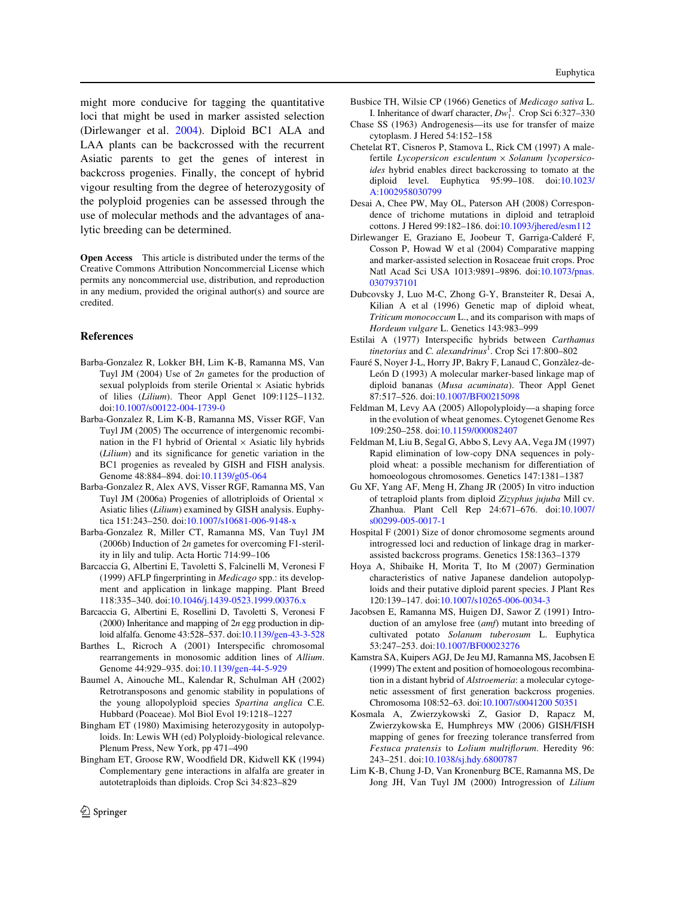might more conducive for tagging the quantitative loci that might be used in marker assisted selection (Dirlewanger et al. [2004\)](#page-9-26). Diploid BC1 ALA and LAA plants can be backcrossed with the recurrent Asiatic parents to get the genes of interest in backcross progenies. Finally, the concept of hybrid vigour resulting from the degree of heterozygosity of the polyploid progenies can be assessed through the use of molecular methods and the advantages of analytic breeding can be determined.

**Open Access** This article is distributed under the terms of the Creative Commons Attribution Noncommercial License which permits any noncommercial use, distribution, and reproduction in any medium, provided the original author(s) and source are credited.

## **References**

- <span id="page-9-11"></span>Barba-Gonzalez R, Lokker BH, Lim K-B, Ramanna MS, Van Tuyl JM (2004) Use of 2*n* gametes for the production of sexual polyploids from sterile Oriental  $\times$  Asiatic hybrids of lilies (*Lilium*). Theor Appl Genet 109:1125–1132. doi[:10.1007/s00122-004-1739-0](http://dx.doi.org/10.1007/s00122-004-1739-0)
- <span id="page-9-0"></span>Barba-Gonzalez R, Lim K-B, Ramanna MS, Visser RGF, Van Tuyl JM (2005) The occurrence of intergenomic recombination in the F1 hybrid of Oriental  $\times$  Asiatic lily hybrids (*Lilium*) and its significance for genetic variation in the BC1 progenies as revealed by GISH and FISH analysis. Genome 48:884–894. doi:[10.1139/g05-064](http://dx.doi.org/10.1139/g05-064)
- <span id="page-9-20"></span>Barba-Gonzalez R, Alex AVS, Visser RGF, Ramanna MS, Van Tuyl JM (2006a) Progenies of allotriploids of Oriental  $\times$ Asiatic lilies (*Lilium*) examined by GISH analysis. Euphytica 151:243–250. doi:[10.1007/s10681-006-9148-x](http://dx.doi.org/10.1007/s10681-006-9148-x)
- <span id="page-9-10"></span>Barba-Gonzalez R, Miller CT, Ramanna MS, Van Tuyl JM (2006b) Induction of 2*n* gametes for overcoming F1-sterility in lily and tulip. Acta Hortic 714:99–106
- <span id="page-9-24"></span>Barcaccia G, Albertini E, Tavoletti S, Falcinelli M, Veronesi F (1999) AFLP fingerprinting in *Medicago* spp.: its development and application in linkage mapping. Plant Breed 118:335–340. doi[:10.1046/j.1439-0523.1999.00376.x](http://dx.doi.org/10.1046/j.1439-0523.1999.00376.x)
- <span id="page-9-5"></span>Barcaccia G, Albertini E, Rosellini D, Tavoletti S, Veronesi F (2000) Inheritance and mapping of 2*n* egg production in diploid alfalfa. Genome 43:528–537. doi:[10.1139/gen-43-3-528](http://dx.doi.org/10.1139/gen-43-3-528)
- <span id="page-9-12"></span>Barthes L, Ricroch A (2001) Interspecific chromosomal rearrangements in monosomic addition lines of *Allium*. Genome 44:929–935. doi:[10.1139/gen-44-5-929](http://dx.doi.org/10.1139/gen-44-5-929)
- <span id="page-9-18"></span>Baumel A, Ainouche ML, Kalendar R, Schulman AH (2002) Retrotransposons and genomic stability in populations of the young allopolyploid species *Spartina anglica* C.E. Hubbard (Poaceae). Mol Biol Evol 19:1218–1227
- <span id="page-9-15"></span>Bingham ET (1980) Maximising heterozygosity in autopolyploids. In: Lewis WH (ed) Polyploidy-biological relevance. Plenum Press, New York, pp 471–490
- <span id="page-9-4"></span>Bingham ET, Groose RW, Woodfield DR, Kidwell KK (1994) Complementary gene interactions in alfalfa are greater in autotetraploids than diploids. Crop Sci 34:823–829
- <span id="page-9-16"></span>Busbice TH, Wilsie CP (1966) Genetics of *Medicago sativa* L. I. Inheritance of dwarf character,  $Dw_1^1$ . Crop Sci 6:327–330
- <span id="page-9-2"></span>Chase SS (1963) Androgenesis—its use for transfer of maize cytoplasm. J Hered 54:152–158
- <span id="page-9-14"></span>Chetelat RT, Cisneros P, Stamova L, Rick CM (1997) A malefertile *Lycopersicon esculentum* × Solanum lycopersico*ides* hybrid enables direct backcrossing to tomato at the diploid level. Euphytica 95:99–108. doi:[10.1023/](http://dx.doi.org/10.1023/A:1002958030799) [A:1002958030799](http://dx.doi.org/10.1023/A:1002958030799)
- <span id="page-9-25"></span>Desai A, Chee PW, May OL, Paterson AH (2008) Correspondence of trichome mutations in diploid and tetraploid cottons. J Hered 99:182–186. doi[:10.1093/jhered/esm112](http://dx.doi.org/10.1093/jhered/esm112)
- <span id="page-9-26"></span>Dirlewanger E, Graziano E, Joobeur T, Garriga-Calderé F, Cosson P, Howad W et al (2004) Comparative mapping and marker-assisted selection in Rosaceae fruit crops. Proc Natl Acad Sci USA 1013:9891–9896. doi:[10.1073/pnas.](http://dx.doi.org/10.1073/pnas.0307937101) [0307937101](http://dx.doi.org/10.1073/pnas.0307937101)
- <span id="page-9-23"></span>Dubcovsky J, Luo M-C, Zhong G-Y, Bransteiter R, Desai A, Kilian A et al (1996) Genetic map of diploid wheat, *Triticum monococcum* L., and its comparison with maps of *Hordeum vulgare* L. Genetics 143:983–999
- <span id="page-9-8"></span>Estilai A (1977) Interspecific hybrids between *Carthamus tinetorius* and *C. alexandrinus*<sup>1</sup> . Crop Sci 17:800–802
- <span id="page-9-22"></span>Fauré S, Noyer J-L, Horry JP, Bakry F, Lanaud C, Gonzàlez-de-León D (1993) A molecular marker-based linkage map of diploid bananas (*Musa acuminata*). Theor Appl Genet 87:517–526. doi[:10.1007/BF00215098](http://dx.doi.org/10.1007/BF00215098)
- <span id="page-9-1"></span>Feldman M, Levy AA (2005) Allopolyploidy—a shaping force in the evolution of wheat genomes. Cytogenet Genome Res 109:250–258. doi[:10.1159/000082407](http://dx.doi.org/10.1159/000082407)
- <span id="page-9-17"></span>Feldman M, Liu B, Segal G, Abbo S, Levy AA, Vega JM (1997) Rapid elimination of low-copy DNA sequences in polyploid wheat: a possible mechanism for differentiation of homoeologous chromosomes. Genetics 147:1381–1387
- <span id="page-9-6"></span>Gu XF, Yang AF, Meng H, Zhang JR (2005) In vitro induction of tetraploid plants from diploid *Zizyphus jujuba* Mill cv. Zhanhua. Plant Cell Rep 24:671–676. doi:[10.1007/](http://dx.doi.org/10.1007/s00299-005-0017-1) [s00299-005-0017-1](http://dx.doi.org/10.1007/s00299-005-0017-1)
- <span id="page-9-19"></span>Hospital F (2001) Size of donor chromosome segments around introgressed loci and reduction of linkage drag in markerassisted backcross programs. Genetics 158:1363–1379
- <span id="page-9-7"></span>Hoya A, Shibaike H, Morita T, Ito M (2007) Germination characteristics of native Japanese dandelion autopolyploids and their putative diploid parent species. J Plant Res 120:139–147. doi[:10.1007/s10265-006-0034-3](http://dx.doi.org/10.1007/s10265-006-0034-3)
- <span id="page-9-3"></span>Jacobsen E, Ramanna MS, Huigen DJ, Sawor Z (1991) Introduction of an amylose free (*amf*) mutant into breeding of cultivated potato *Solanum tuberosum* L. Euphytica 53:247–253. doi[:10.1007/BF00023276](http://dx.doi.org/10.1007/BF00023276)
- <span id="page-9-13"></span>Kamstra SA, Kuipers AGJ, De Jeu MJ, Ramanna MS, Jacobsen E (1999) The extent and position of homoeologous recombination in a distant hybrid of *Alstroemeria*: a molecular cytogenetic assessment of first generation backcross progenies. Chromosoma 108:52–63. doi[:10.1007/s0041200 50351](http://dx.doi.org/10.1007/s004120050351)
- <span id="page-9-21"></span>Kosmala A, Zwierzykowski Z, Gasior D, Rapacz M, Zwierzykowska E, Humphreys MW (2006) GISH/FISH mapping of genes for freezing tolerance transferred from *Festuca pratensis* to *Lolium multiXorum*. Heredity 96: 243–251. doi[:10.1038/sj.hdy.6800787](http://dx.doi.org/10.1038/sj.hdy.6800787)
- <span id="page-9-9"></span>Lim K-B, Chung J-D, Van Kronenburg BCE, Ramanna MS, De Jong JH, Van Tuyl JM (2000) Introgression of *Lilium*